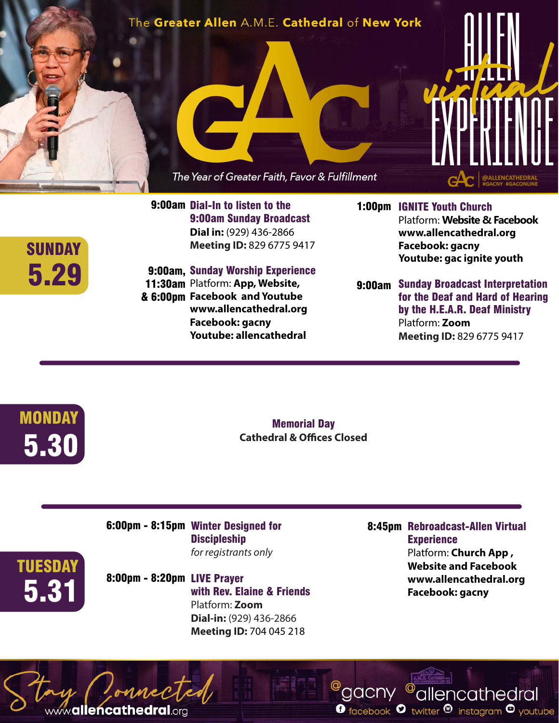## The Greater Allen A.M.E. Cathedral of New York





9:00am Dial-In to listen to the 9:00am Sunday Broadcast **Dial in:** (929) 436-2866 **Meeting ID:** 829 6775 9417

## 9:00am, Sunday Worship Experience 11:30am Platform: App, Website,

**Facebook and Youtube** & 6:00pm **www.allencathedral.org Facebook: gacny Youtube: allencathedral** 

- 1:00pm IGNITE Youth Church Platform: **Website & Facebook www.allencathedral.org Facebook: gacny Youtube: gac ignite youth**
- 9:00am Sunday Broadcast Interpretation for the Deaf and Hard of Hearing by the H.E.A.R. Deaf Ministry Platform: **Zoom Meeting ID:** 829 6775 9417



5.29

**SUNDAY** 

Memorial Day **Cathedral & Offices Closed**

6:00pm - 8:15pm Winter Designed for **Discipleship** *for registrants only*

**TUESDAY** 

www.allencathedral.org

8:00pm - 8:20pm LIVE Prayer with Rev. Elaine & Friends Platform: **Zoom Dial-in:** (929) 436-2866 **Meeting ID:** 704 045 218 **Facebook: gacny** and a strive of the MONS. The MONT of the MONT of the MONT of the MONT of the MONT of the MON<br>
MONT District of the MONT of the MONT of the MONT of the MONT of the MONT of the MONT of the MONT of the MONT

 8:45pm Rebroadcast-Allen Virtual **Experience** Platform: **Church App , Website and Facebook www.allencathedral.org**

<sup>@</sup>allencathedral

**O** facebook  $\bullet$  twitter  $\bullet$  instagram  $\bullet$  youtube

<sup>@</sup>gacny